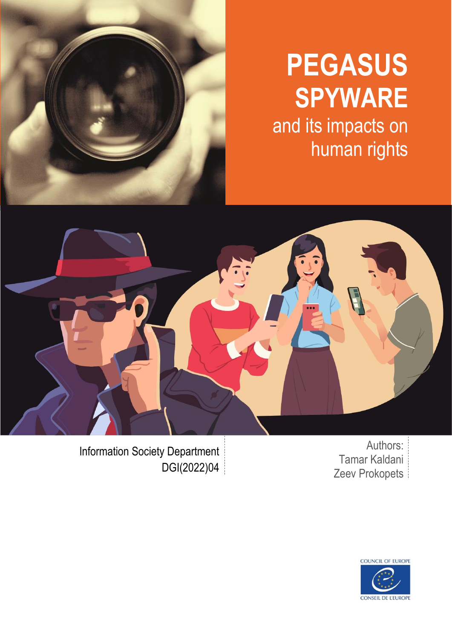

# **PEGASUS SPYWARE**

and its impacts on human rights



Authors: Tamar Kaldani Zeev Prokopets

Information Society Department DGI(2022)04

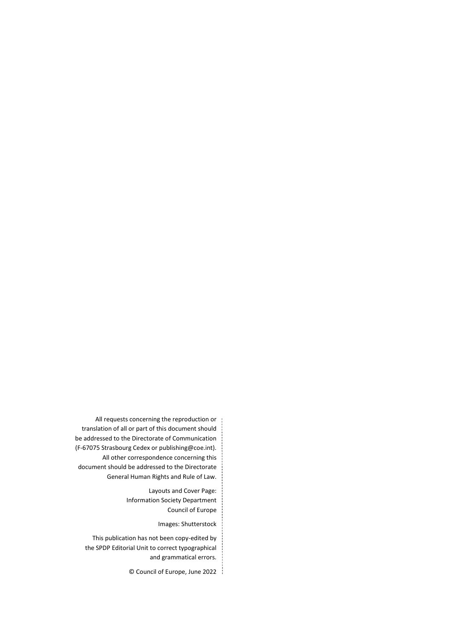All requests concerning the reproduction or translation of all or part of this document should be addressed to the Directorate of Communication (F-67075 Strasbourg Cedex or publishing@coe.int). All other correspondence concerning this document should be addressed to the Directorate General Human Rights and Rule of Law.

> Layouts and Cover Page: Information Society Department Council of Europe

> > Images: Shutterstock

This publication has not been copy-edited by the SPDP Editorial Unit to correct typographical and grammatical errors.

© Council of Europe, June 2022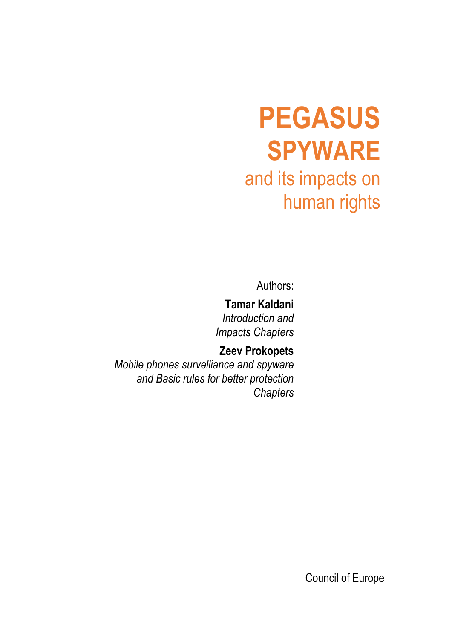# **PEGASUS SPYWARE** and its impacts on human rights

Authors:

*Chapters*

**Tamar Kaldani** *Introduction and Impacts Chapters*

**Zeev Prokopets** *Mobile phones survelliance and spyware and Basic rules for better protection* 

Council of Europe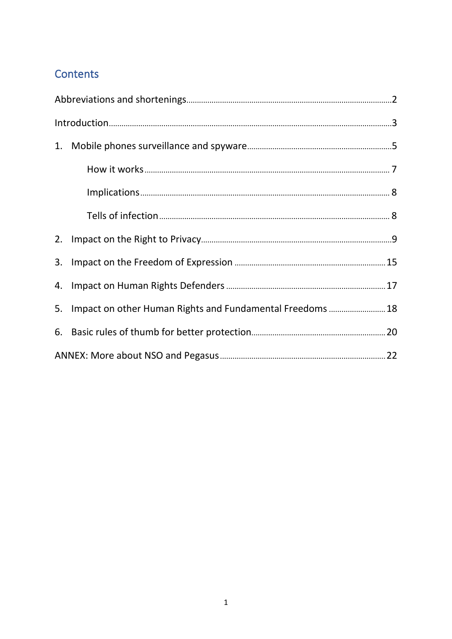### Contents

| 1. |                                                              |  |  |
|----|--------------------------------------------------------------|--|--|
|    |                                                              |  |  |
|    |                                                              |  |  |
|    |                                                              |  |  |
|    |                                                              |  |  |
|    |                                                              |  |  |
|    |                                                              |  |  |
|    | 5. Impact on other Human Rights and Fundamental Freedoms  18 |  |  |
|    |                                                              |  |  |
|    |                                                              |  |  |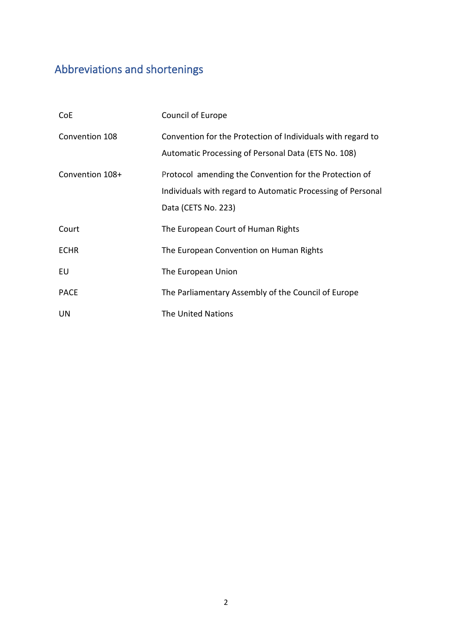## <span id="page-5-0"></span>Abbreviations and shortenings

| CoE             | Council of Europe                                                                                                                            |
|-----------------|----------------------------------------------------------------------------------------------------------------------------------------------|
| Convention 108  | Convention for the Protection of Individuals with regard to<br>Automatic Processing of Personal Data (ETS No. 108)                           |
| Convention 108+ | Protocol amending the Convention for the Protection of<br>Individuals with regard to Automatic Processing of Personal<br>Data (CETS No. 223) |
| Court           | The European Court of Human Rights                                                                                                           |
| <b>ECHR</b>     | The European Convention on Human Rights                                                                                                      |
| EU              | The European Union                                                                                                                           |
| <b>PACE</b>     | The Parliamentary Assembly of the Council of Europe                                                                                          |
| UN              | <b>The United Nations</b>                                                                                                                    |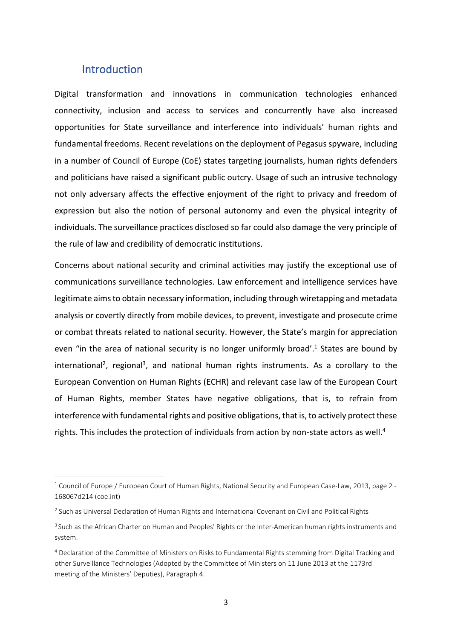#### **Introduction**

<span id="page-6-0"></span>Digital transformation and innovations in communication technologies enhanced connectivity, inclusion and access to services and concurrently have also increased opportunities for State surveillance and interference into individuals' human rights and fundamental freedoms. Recent revelations on the deployment of Pegasus spyware, including in a number of Council of Europe (CoE) states targeting journalists, human rights defenders and politicians have raised a significant public outcry. Usage of such an intrusive technology not only adversary affects the effective enjoyment of the right to privacy and freedom of expression but also the notion of personal autonomy and even the physical integrity of individuals. The surveillance practices disclosed so far could also damage the very principle of the rule of law and credibility of democratic institutions.

Concerns about national security and criminal activities may justify the exceptional use of communications surveillance technologies. Law enforcement and intelligence services have legitimate aims to obtain necessary information, including through wiretapping and metadata analysis or covertly directly from mobile devices, to prevent, investigate and prosecute crime or combat threats related to national security. However, the State's margin for appreciation even "in the area of national security is no longer uniformly broad'.<sup>1</sup> States are bound by international<sup>2</sup>, regional<sup>3</sup>, and national human rights instruments. As a corollary to the European Convention on Human Rights (ECHR) and relevant case law of the European Court of Human Rights, member States have negative obligations, that is, to refrain from interference with fundamental rights and positive obligations, that is, to actively protect these rights. This includes the protection of individuals from action by non-state actors as well. 4

<sup>&</sup>lt;sup>1</sup> Council of Europe / European Court of Human Rights, National Security and European Case-Law, 2013, page 2 -[168067d214 \(coe.int\)](https://rm.coe.int/168067d214)

<sup>&</sup>lt;sup>2</sup> Such as Universal Declaration of Human Rights and International Covenant on Civil and Political Rights

<sup>&</sup>lt;sup>3</sup> Such as the African Charter on Human and Peoples' Rights or the Inter-American human rights instruments and system.

<sup>4</sup> Declaration of the Committee of Ministers on Risks to Fundamental Rights stemming from Digital Tracking and other Surveillance Technologies (Adopted by the Committee of Ministers on 11 June 2013 at the 1173rd meeting of the Ministers' Deputies), Paragraph 4.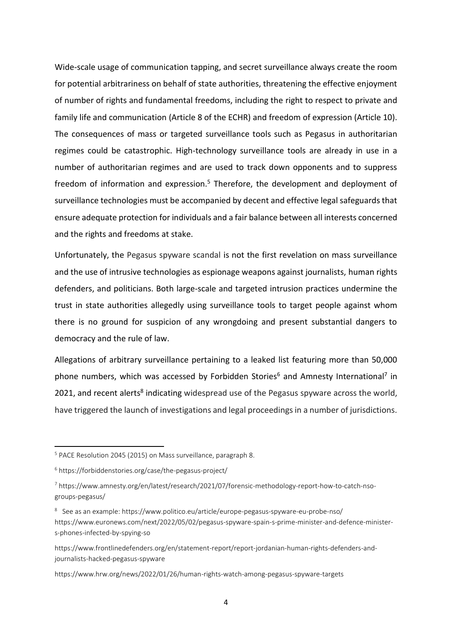Wide-scale usage of communication tapping, and secret surveillance always create the room for potential arbitrariness on behalf of state authorities, threatening the effective enjoyment of number of rights and fundamental freedoms, including the right to respect to private and family life and communication (Article 8 of the ECHR) and freedom of expression (Article 10). The consequences of mass or targeted surveillance tools such as Pegasus in authoritarian regimes could be catastrophic. High-technology surveillance tools are already in use in a number of authoritarian regimes and are used to track down opponents and to suppress freedom of information and expression.<sup>5</sup> Therefore, the development and deployment of surveillance technologies must be accompanied by decent and effective legal safeguards that ensure adequate protection for individuals and a fair balance between all interests concerned and the rights and freedoms at stake.

Unfortunately, the Pegasus spyware scandal is not the first revelation on mass surveillance and the use of intrusive technologies as espionage weapons against journalists, human rights defenders, and politicians. Both large-scale and targeted intrusion practices undermine the trust in state authorities allegedly using surveillance tools to target people against whom there is no ground for suspicion of any wrongdoing and present substantial dangers to democracy and the rule of law.

Allegations of arbitrary surveillance pertaining to a leaked list featuring more than 50,000 phone numbers, which was accessed by Forbidden Stories<sup>6</sup> and Amnesty International<sup>7</sup> in 2021, and recent alerts<sup>8</sup> indicating widespread use of the Pegasus spyware across the world, have triggered the launch of investigations and legal proceedings in a number of jurisdictions.

<sup>5</sup> PACE Resolution 2045 (2015) on Mass surveillance, paragraph 8.

<sup>6</sup> <https://forbiddenstories.org/case/the-pegasus-project/>

<sup>7</sup> [https://www.amnesty.org/en/latest/research/2021/07/forensic-methodology-report-how-to-catch-nso](https://www.amnesty.org/en/latest/research/2021/07/forensic-methodology-report-how-to-catch-nso-groups-pegasus/)[groups-pegasus/](https://www.amnesty.org/en/latest/research/2021/07/forensic-methodology-report-how-to-catch-nso-groups-pegasus/)

<sup>&</sup>lt;sup>8</sup> See as an example: https://www.politico.eu/article/europe-pegasus-spyware-eu-probe-nso/ [https://www.euronews.com/next/2022/05/02/pegasus-spyware-spain-s-prime-minister-and-defence-minister](https://www.euronews.com/next/2022/05/02/pegasus-spyware-spain-s-prime-minister-and-defence-minister-s-phones-infected-by-spying-so)[s-phones-infected-by-spying-so](https://www.euronews.com/next/2022/05/02/pegasus-spyware-spain-s-prime-minister-and-defence-minister-s-phones-infected-by-spying-so)

[https://www.frontlinedefenders.org/en/statement-report/report-jordanian-human-rights-defenders-and](https://www.frontlinedefenders.org/en/statement-report/report-jordanian-human-rights-defenders-and-journalists-hacked-pegasus-spyware)[journalists-hacked-pegasus-spyware](https://www.frontlinedefenders.org/en/statement-report/report-jordanian-human-rights-defenders-and-journalists-hacked-pegasus-spyware)

<https://www.hrw.org/news/2022/01/26/human-rights-watch-among-pegasus-spyware-targets>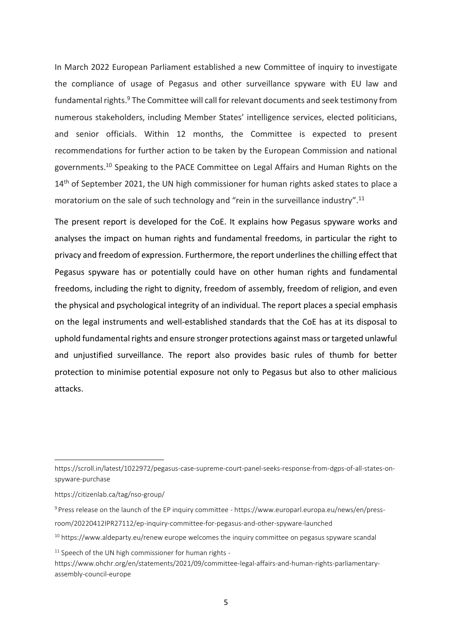In March 2022 European Parliament established a new Committee of inquiry to investigate the compliance of usage of Pegasus and other surveillance spyware with EU law and fundamental rights.<sup>9</sup> The Committee will call for relevant documents and seek testimony from numerous stakeholders, including Member States' intelligence services, elected politicians, and senior officials. Within 12 months, the Committee is expected to present recommendations for further action to be taken by the European Commission and national governments.<sup>10</sup> Speaking to the PACE Committee on Legal Affairs and Human Rights on the 14<sup>th</sup> of September 2021, the UN high commissioner for human rights asked states to place a moratorium on the sale of such technology and "rein in the surveillance industry".<sup>11</sup>

The present report is developed for the CoE. It explains how Pegasus spyware works and analyses the impact on human rights and fundamental freedoms, in particular the right to privacy and freedom of expression. Furthermore, the report underlines the chilling effect that Pegasus spyware has or potentially could have on other human rights and fundamental freedoms, including the right to dignity, freedom of assembly, freedom of religion, and even the physical and psychological integrity of an individual. The report places a special emphasis on the legal instruments and well-established standards that the CoE has at its disposal to uphold fundamental rights and ensure stronger protections against mass or targeted unlawful and unjustified surveillance. The report also provides basic rules of thumb for better protection to minimise potential exposure not only to Pegasus but also to other malicious attacks.

<span id="page-8-0"></span>[https://scroll.in/latest/1022972/pegasus-case-supreme-court-panel-seeks-response-from-dgps-of-all-states-on](https://scroll.in/latest/1022972/pegasus-case-supreme-court-panel-seeks-response-from-dgps-of-all-states-on-spyware-purchase)[spyware-purchase](https://scroll.in/latest/1022972/pegasus-case-supreme-court-panel-seeks-response-from-dgps-of-all-states-on-spyware-purchase)

<https://citizenlab.ca/tag/nso-group/>

<sup>9</sup> Press release on the launch of the EP inquiry committee - [https://www.europarl.europa.eu/news/en/press](https://www.europarl.europa.eu/news/en/press-room/20220412IPR27112/ep-inquiry-committee-for-pegasus-and-other-spyware-launched)[room/20220412IPR27112/ep-inquiry-committee-for-pegasus-and-other-spyware-launched](https://www.europarl.europa.eu/news/en/press-room/20220412IPR27112/ep-inquiry-committee-for-pegasus-and-other-spyware-launched)

<sup>&</sup>lt;sup>10</sup> [https://www.aldeparty.eu/renew europe welcomes the inquiry committee on pegasus spyware scandal](https://www.aldeparty.eu/renew%20europe%20welcomes%20the%20inquiry%20committee%20on%20pegasus%20spyware%20scandal)

 $11$  Speech of the UN high commissioner for human rights -

[https://www.ohchr.org/en/statements/2021/09/committee-legal-affairs-and-human-rights-parliamentary](https://www.ohchr.org/en/statements/2021/09/committee-legal-affairs-and-human-rights-parliamentary-assembly-council-europe)[assembly-council-europe](https://www.ohchr.org/en/statements/2021/09/committee-legal-affairs-and-human-rights-parliamentary-assembly-council-europe)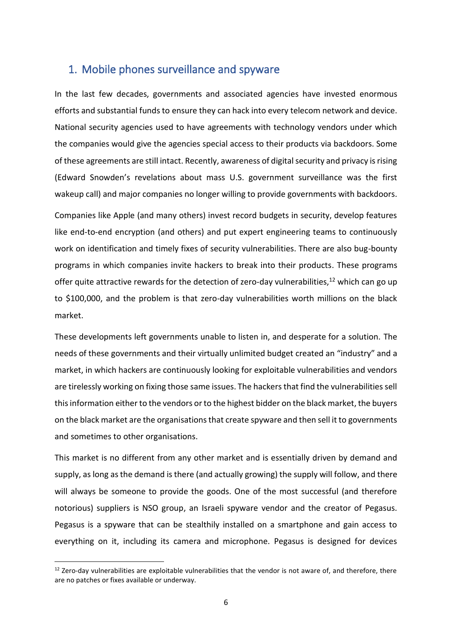#### 1. Mobile phones surveillance and spyware

In the last few decades, governments and associated agencies have invested enormous efforts and substantial funds to ensure they can hack into every telecom network and device. National security agencies used to have agreements with technology vendors under which the companies would give the agencies special access to their products via backdoors. Some of these agreements are still intact. Recently, awareness of digital security and privacy is rising (Edward Snowden's revelations about mass U.S. government surveillance was the first wakeup call) and major companies no longer willing to provide governments with backdoors.

Companies like Apple (and many others) invest record budgets in security, develop features like end-to-end encryption (and others) and put expert engineering teams to continuously work on identification and timely fixes of security vulnerabilities. There are also bug-bounty programs in which companies invite hackers to break into their products. These programs offer quite attractive rewards for the detection of zero-day vulnerabilities,<sup>12</sup> which can go up to \$100,000, and the problem is that zero-day vulnerabilities worth millions on the black market.

These developments left governments unable to listen in, and desperate for a solution. The needs of these governments and their virtually unlimited budget created an "industry" and a market, in which hackers are continuously looking for exploitable vulnerabilities and vendors are tirelessly working on fixing those same issues. The hackers that find the vulnerabilities sell this information either to the vendors or to the highest bidder on the black market, the buyers on the black market are the organisations that create spyware and then sell it to governments and sometimes to other organisations.

This market is no different from any other market and is essentially driven by demand and supply, as long as the demand is there (and actually growing) the supply will follow, and there will always be someone to provide the goods. One of the most successful (and therefore notorious) suppliers is NSO group, an Israeli spyware vendor and the creator of Pegasus. Pegasus is a spyware that can be stealthily installed on a smartphone and gain access to everything on it, including its camera and microphone. Pegasus is designed for devices

 $12$  Zero-day vulnerabilities are exploitable vulnerabilities that the vendor is not aware of, and therefore, there are no patches or fixes available or underway.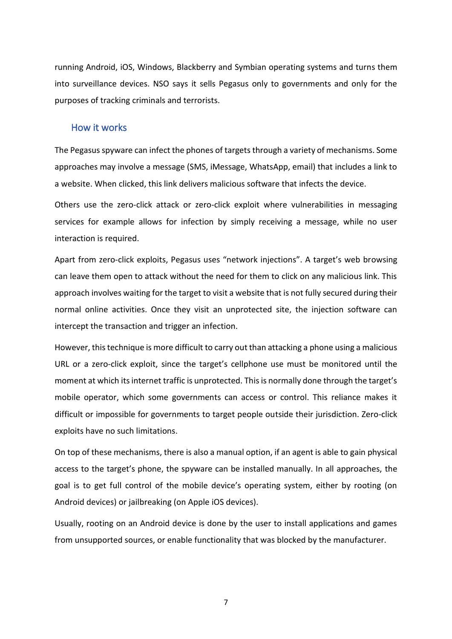running Android, iOS, Windows, Blackberry and Symbian operating systems and turns them into surveillance devices. NSO says it sells Pegasus only to governments and only for the purposes of tracking criminals and terrorists.

#### <span id="page-10-0"></span>How it works

The Pegasus spyware can infect the phones of targets through a variety of mechanisms. Some approaches may involve a message (SMS, iMessage, WhatsApp, email) that includes a link to a website. When clicked, this link delivers malicious software that infects the device.

Others use the zero-click attack or zero-click exploit where vulnerabilities in messaging services for example allows for infection by simply receiving a message, while no user interaction is required.

Apart from zero-click exploits, Pegasus uses "network injections". A target's web browsing can leave them open to attack without the need for them to click on any malicious link. This approach involves waiting for the target to visit a website that is not fully secured during their normal online activities. Once they visit an unprotected site, the injection software can intercept the transaction and trigger an infection.

However, this technique is more difficult to carry out than attacking a phone using a malicious URL or a zero-click exploit, since the target's cellphone use must be monitored until the moment at which its internet traffic is unprotected. This is normally done through the target's mobile operator, which some governments can access or control. This reliance makes it difficult or impossible for governments to target people outside their jurisdiction. Zero-click exploits have no such limitations.

On top of these mechanisms, there is also a manual option, if an agent is able to gain physical access to the target's phone, the spyware can be installed manually. In all approaches, the goal is to get full control of the mobile device's operating system, either by rooting (on Android devices) or jailbreaking (on Apple iOS devices).

Usually, rooting on an Android device is done by the user to install applications and games from unsupported sources, or enable functionality that was blocked by the manufacturer.

7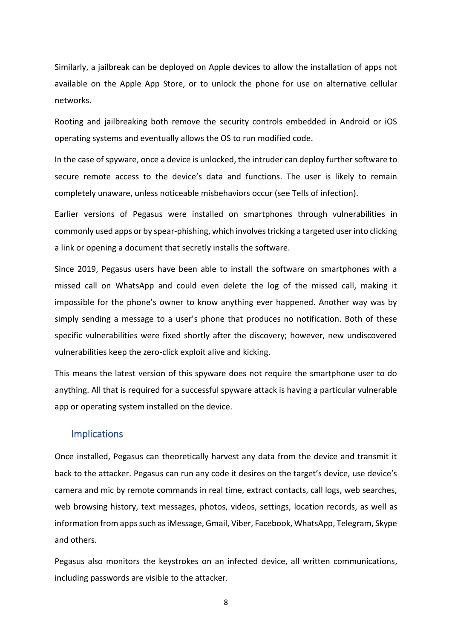Similarly, a jailbreak can be deployed on Apple devices to allow the installation of apps not available on the Apple App Store, or to unlock the phone for use on alternative cellular networks.

Rooting and jailbreaking both remove the security controls embedded in Android or iOS operating systems and eventually allows the OS to run modified code.

In the case of spyware, once a device is unlocked, the intruder can deploy further software to secure remote access to the device's data and functions. The user is likely to remain completely unaware, unless noticeable misbehaviors occur (see Tells of infection).

Earlier versions of Pegasus were installed on smartphones through vulnerabilities in commonly used apps or by spear-phishing, which involves tricking a targeted user into clicking a link or opening a document that secretly installs the software.

Since 2019, Pegasus users have been able to install the software on smartphones with a missed call on WhatsApp and could even delete the log of the missed call, making it impossible for the phone's owner to know anything ever happened. Another way was by simply sending a message to a user's phone that produces no notification. Both of these specific vulnerabilities were fixed shortly after the discovery; however, new undiscovered vulnerabilities keep the zero-click exploit alive and kicking.

This means the latest version of this spyware does not require the smartphone user to do anything. All that is required for a successful spyware attack is having a particular vulnerable app or operating system installed on the device.

#### <span id="page-11-0"></span>Implications

Once installed, Pegasus can theoretically harvest any data from the device and transmit it back to the attacker. Pegasus can run any code it desires on the target's device, use device's camera and mic by remote commands in real time, extract contacts, call logs, web searches, web browsing history, text messages, photos, videos, settings, location records, as well as information from apps such as iMessage, Gmail, Viber, Facebook, WhatsApp, Telegram, Skype and others.

<span id="page-11-1"></span>Pegasus also monitors the keystrokes on an infected device, all written communications, including passwords are visible to the attacker.

8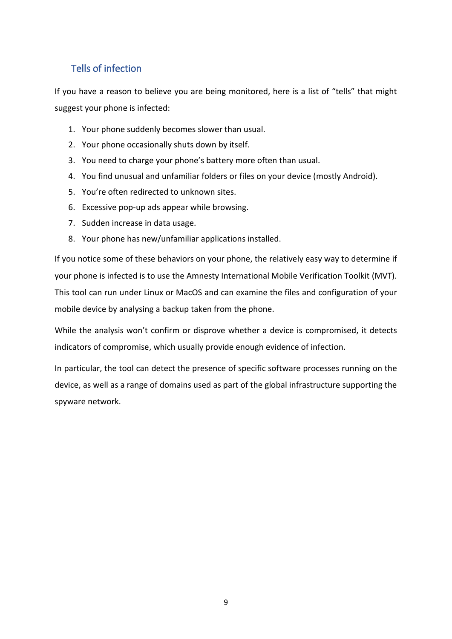#### Tells of infection

If you have a reason to believe you are being monitored, here is a list of "tells" that might suggest your phone is infected:

- 1. Your phone suddenly becomes slower than usual.
- 2. Your phone occasionally shuts down by itself.
- 3. You need to charge your phone's battery more often than usual.
- 4. You find unusual and unfamiliar folders or files on your device (mostly Android).
- 5. You're often redirected to unknown sites.
- 6. Excessive pop-up ads appear while browsing.
- 7. Sudden increase in data usage.
- 8. Your phone has new/unfamiliar applications installed.

If you notice some of these behaviors on your phone, the relatively easy way to determine if your phone is infected is to use the Amnesty International Mobile Verification Toolkit (MVT). This tool can run under Linux or MacOS and can examine the files and configuration of your mobile device by analysing a backup taken from the phone.

While the analysis won't confirm or disprove whether a device is compromised, it detects indicators of compromise, which usually provide enough evidence of infection.

<span id="page-12-0"></span>In particular, the tool can detect the presence of specific software processes running on the device, as well as a range of domains used as part of the global infrastructure supporting the spyware network.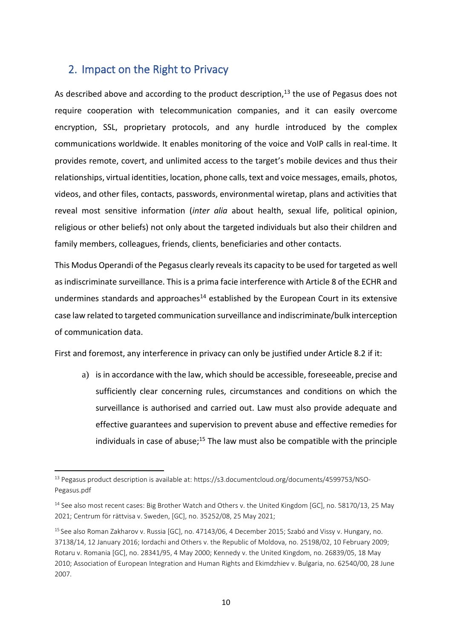#### 2. Impact on the Right to Privacy

As described above and according to the product description,<sup>13</sup> the use of Pegasus does not require cooperation with telecommunication companies, and it can easily overcome encryption, SSL, proprietary protocols, and any hurdle introduced by the complex communications worldwide. It enables monitoring of the voice and VoIP calls in real-time. It provides remote, covert, and unlimited access to the target's mobile devices and thus their relationships, virtual identities, location, phone calls, text and voice messages, emails, photos, videos, and other files, contacts, passwords, environmental wiretap, plans and activities that reveal most sensitive information (*inter alia* about health, sexual life, political opinion, religious or other beliefs) not only about the targeted individuals but also their children and family members, colleagues, friends, clients, beneficiaries and other contacts.

This Modus Operandi of the Pegasus clearly reveals its capacity to be used for targeted as well as indiscriminate surveillance. This is a prima facie interference with Article 8 of the ECHR and undermines standards and approaches $14$  established by the European Court in its extensive case law related to targeted communication surveillance and indiscriminate/bulk interception of communication data.

First and foremost, any interference in privacy can only be justified under Article 8.2 if it:

a) is in accordance with the law, which should be accessible, foreseeable, precise and sufficiently clear concerning rules, circumstances and conditions on which the surveillance is authorised and carried out. Law must also provide adequate and effective guarantees and supervision to prevent abuse and effective remedies for individuals in case of abuse;<sup>15</sup> The law must also be compatible with the principle

<sup>13</sup> Pegasus product description is available at: [https://s3.documentcloud.org/documents/4599753/NSO-](https://s3.documentcloud.org/documents/4599753/NSO-Pegasus.pdf)[Pegasus.pdf](https://s3.documentcloud.org/documents/4599753/NSO-Pegasus.pdf)

<sup>&</sup>lt;sup>14</sup> See also most recent cases: Big Brother Watch and Others v. the United Kingdom [GC], no. 58170/13, 25 May 2021; Centrum för rättvisa v. Sweden, [GC], no. 35252/08, 25 May 2021;

<sup>&</sup>lt;sup>15</sup> See also Roman Zakharov v. Russia [GC], no. 47143/06, 4 December 2015; Szabó and Vissy v. Hungary, no. 37138/14, 12 January 2016; Iordachi and Others v. the Republic of Moldova, no. 25198/02, 10 February 2009; Rotaru v. Romania [GC], no. 28341/95, 4 May 2000; Kennedy v. the United Kingdom, no. 26839/05, 18 May 2010; Association of European Integration and Human Rights and Ekimdzhiev v. Bulgaria, no. 62540/00, 28 June 2007.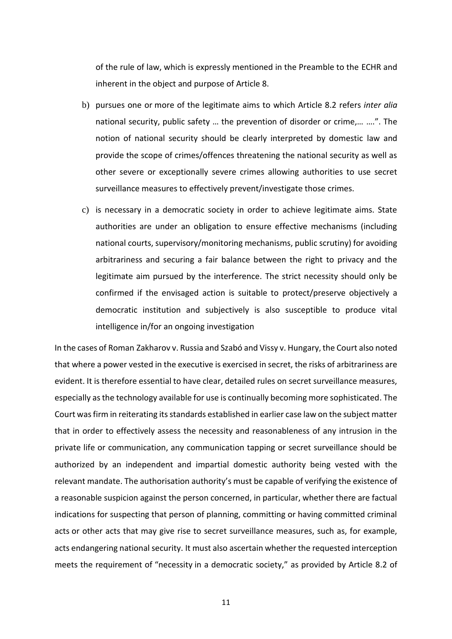of the rule of law, which is expressly mentioned in the Preamble to the ECHR and inherent in the object and purpose of Article 8.

- b) pursues one or more of the legitimate aims to which Article 8.2 refers *inter alia* national security, public safety … the prevention of disorder or crime,… ….". The notion of national security should be clearly interpreted by domestic law and provide the scope of crimes/offences threatening the national security as well as other severe or exceptionally severe crimes allowing authorities to use secret surveillance measures to effectively prevent/investigate those crimes.
- c) is necessary in a democratic society in order to achieve legitimate aims. State authorities are under an obligation to ensure effective mechanisms (including national courts, supervisory/monitoring mechanisms, public scrutiny) for avoiding arbitrariness and securing a fair balance between the right to privacy and the legitimate aim pursued by the interference. The strict necessity should only be confirmed if the envisaged action is suitable to protect/preserve objectively a democratic institution and subjectively is also susceptible to produce vital intelligence in/for an ongoing investigation

In the cases of Roman Zakharov v. Russia and Szabó and Vissy v. Hungary, the Court also noted that where a power vested in the executive is exercised in secret, the risks of arbitrariness are evident. It is therefore essential to have clear, detailed rules on secret surveillance measures, especially as the technology available for use is continually becoming more sophisticated. The Court was firm in reiterating its standards established in earlier case law on the subject matter that in order to effectively assess the necessity and reasonableness of any intrusion in the private life or communication, any communication tapping or secret surveillance should be authorized by an independent and impartial domestic authority being vested with the relevant mandate. The authorisation authority's must be capable of verifying the existence of a reasonable suspicion against the person concerned, in particular, whether there are factual indications for suspecting that person of planning, committing or having committed criminal acts or other acts that may give rise to secret surveillance measures, such as, for example, acts endangering national security. It must also ascertain whether the requested interception meets the requirement of "necessity in a democratic society," as provided by Article 8.2 of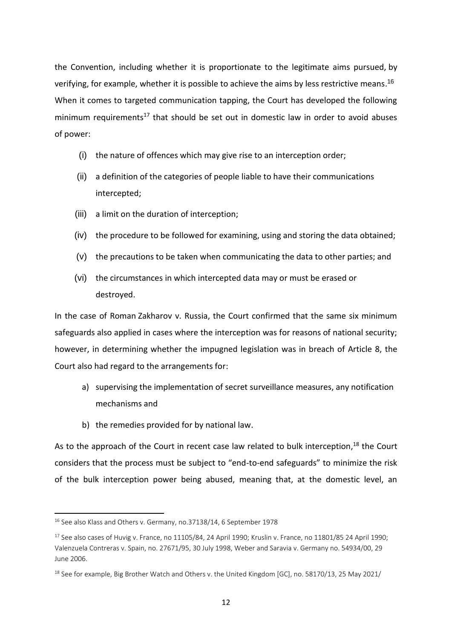the Convention, including whether it is proportionate to the legitimate aims pursued, by verifying, for example, whether it is possible to achieve the aims by less restrictive means.<sup>16</sup> When it comes to targeted communication tapping, the Court has developed the following minimum requirements<sup>17</sup> that should be set out in domestic law in order to avoid abuses of power:

- (i) the nature of offences which may give rise to an interception order;
- (ii) a definition of the categories of people liable to have their communications intercepted;
- (iii) a limit on the duration of interception;
- (iv) the procedure to be followed for examining, using and storing the data obtained;
- (v) the precautions to be taken when communicating the data to other parties; and
- (vi) the circumstances in which intercepted data may or must be erased or destroyed.

In the case of Roman Zakharov v. Russia, the Court confirmed that the same six minimum safeguards also applied in cases where the interception was for reasons of national security; however, in determining whether the impugned legislation was in breach of Article 8, the Court also had regard to the arrangements for:

- a) supervising the implementation of secret surveillance measures, any notification mechanisms and
- b) the remedies provided for by national law.

As to the approach of the Court in recent case law related to bulk interception,<sup>18</sup> the Court considers that the process must be subject to "end-to-end safeguards" to minimize the risk of the bulk interception power being abused, meaning that, at the domestic level, an

<sup>16</sup> See also Klass and Others v. Germany, no.37138/14, 6 September 1978

 $17$  See also cases of Huvig v. France, no 11105/84, 24 April 1990; Kruslin v. France, no 11801/85 24 April 1990; Valenzuela Contreras v. Spain, no. 27671/95, 30 July 1998, Weber and Saravia v. Germany no. 54934/00, 29 June 2006.

<sup>&</sup>lt;sup>18</sup> See for example, Big Brother Watch and Others v. the United Kingdom [GC], no. 58170/13, 25 May 2021/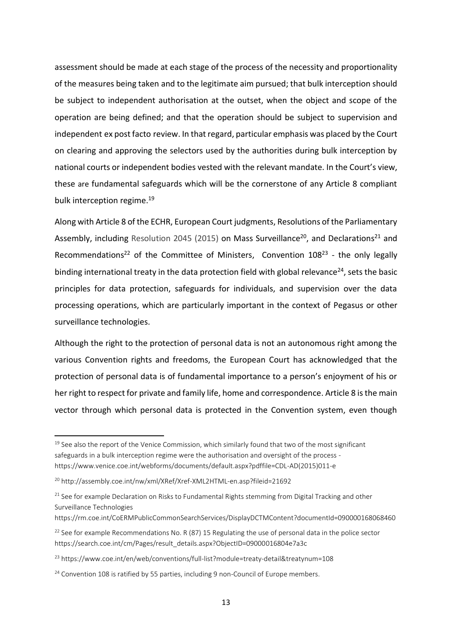assessment should be made at each stage of the process of the necessity and proportionality of the measures being taken and to the legitimate aim pursued; that bulk interception should be subject to independent authorisation at the outset, when the object and scope of the operation are being defined; and that the operation should be subject to supervision and independent ex post facto review. In that regard, particular emphasis was placed by the Court on clearing and approving the selectors used by the authorities during bulk interception by national courts or independent bodies vested with the relevant mandate. In the Court's view, these are fundamental safeguards which will be the cornerstone of any Article 8 compliant bulk interception regime. 19

Along with Article 8 of the ECHR, European Court judgments, Resolutions of the Parliamentary Assembly, including Resolution 2045 (2015) on Mass Surveillance<sup>20</sup>, and Declarations<sup>21</sup> and Recommendations<sup>22</sup> of the Committee of Ministers, Convention  $108<sup>23</sup>$  - the only legally binding international treaty in the data protection field with global relevance<sup>24</sup>, sets the basic principles for data protection, safeguards for individuals, and supervision over the data processing operations, which are particularly important in the context of Pegasus or other surveillance technologies.

Although the right to the protection of personal data is not an autonomous right among the various Convention rights and freedoms, the European Court has acknowledged that the protection of personal data is of fundamental importance to a person's enjoyment of his or her right to respect for private and family life, home and correspondence. Article 8 is the main vector through which personal data is protected in the Convention system, even though

 $19$  See also the report of the Venice Commission, which similarly found that two of the most significant safeguards in a bulk interception regime were the authorisation and oversight of the process [https://www.venice.coe.int/webforms/documents/default.aspx?pdffile=CDL-AD\(2015\)011-e](https://www.venice.coe.int/webforms/documents/default.aspx?pdffile=CDL-AD(2015)011-e) 

<sup>20</sup> <http://assembly.coe.int/nw/xml/XRef/Xref-XML2HTML-en.asp?fileid=21692>

<sup>&</sup>lt;sup>21</sup> See for example Declaration on Risks to Fundamental Rights stemming from Digital Tracking and other Surveillance Technologies

https://rm.coe.int/CoERMPublicCommonSearchServices/DisplayDCTMContent?documentId=090000168068460

<sup>&</sup>lt;sup>22</sup> See for example Recommendations No. R (87) 15 Regulating the use of personal data in the police sector [https://search.coe.int/cm/Pages/result\\_details.aspx?ObjectID=09000016804e7a3c](https://search.coe.int/cm/Pages/result_details.aspx?ObjectID=09000016804e7a3c)

<sup>&</sup>lt;sup>23</sup> https://www.coe.int/en/web/conventions/full-list?module=treaty-detail&treatynum=108

<sup>&</sup>lt;sup>24</sup> Convention 108 is ratified by 55 parties, including 9 non-Council of Europe members.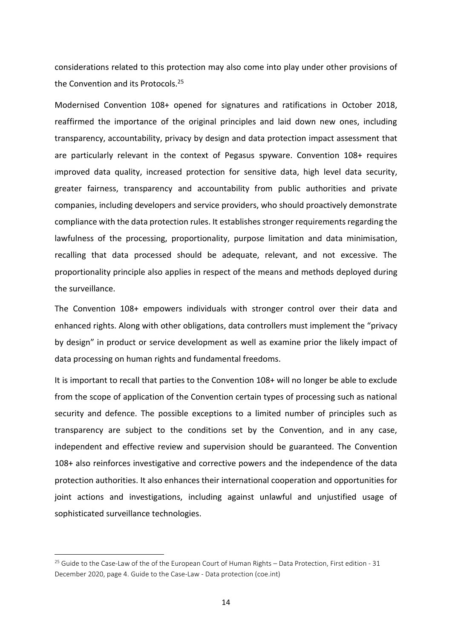considerations related to this protection may also come into play under other provisions of the Convention and its Protocols.<sup>25</sup>

Modernised Convention 108+ opened for signatures and ratifications in October 2018, reaffirmed the importance of the original principles and laid down new ones, including transparency, accountability, privacy by design and data protection impact assessment that are particularly relevant in the context of Pegasus spyware. Convention 108+ requires improved data quality, increased protection for sensitive data, high level data security, greater fairness, transparency and accountability from public authorities and private companies, including developers and service providers, who should proactively demonstrate compliance with the data protection rules. It establishes stronger requirements regarding the lawfulness of the processing, proportionality, purpose limitation and data minimisation, recalling that data processed should be adequate, relevant, and not excessive. The proportionality principle also applies in respect of the means and methods deployed during the surveillance.

The Convention 108+ empowers individuals with stronger control over their data and enhanced rights. Along with other obligations, data controllers must implement the "privacy by design" in product or service development as well as examine prior the likely impact of data processing on human rights and fundamental freedoms.

It is important to recall that parties to the Convention 108+ will no longer be able to exclude from the scope of application of the Convention certain types of processing such as national security and defence. The possible exceptions to a limited number of principles such as transparency are subject to the conditions set by the Convention, and in any case, independent and effective review and supervision should be guaranteed. The Convention 108+ also reinforces investigative and corrective powers and the independence of the data protection authorities. It also enhances their international cooperation and opportunities for joint actions and investigations, including against unlawful and unjustified usage of sophisticated surveillance technologies.

<sup>&</sup>lt;sup>25</sup> Guide to the Case-Law of the of the European Court of Human Rights – Data Protection, First edition - 31 December 2020, page 4. Guide to the Case-Law - [Data protection \(coe.int\)](https://rm.coe.int/guide-data-protection-eng-1-2789-7576-0899-v-1/1680a20af0)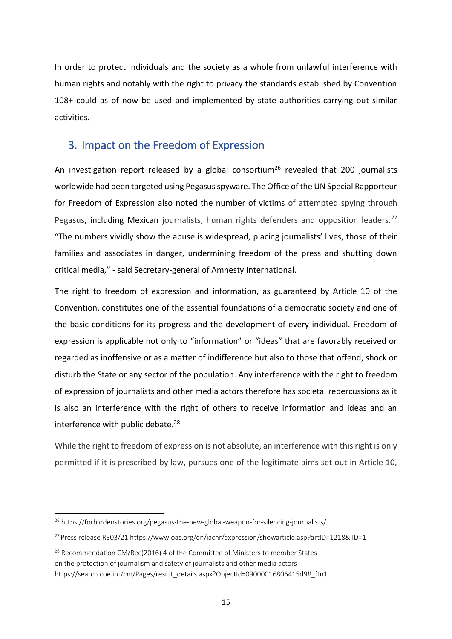In order to protect individuals and the society as a whole from unlawful interference with human rights and notably with the right to privacy the standards established by Convention 108+ could as of now be used and implemented by state authorities carrying out similar activities.

#### <span id="page-18-0"></span>3. Impact on the Freedom of Expression

An investigation report released by a global consortium<sup>26</sup> revealed that 200 journalists worldwide had been targeted using Pegasus spyware. The Office of the UN Special Rapporteur for Freedom of Expression also noted the number of victims of attempted spying through Pegasus, including Mexican journalists, human rights defenders and opposition leaders.<sup>27</sup> "The numbers vividly show the abuse is widespread, placing journalists' lives, those of their families and associates in danger, undermining freedom of the press and shutting down critical media," - said Secretary-general of Amnesty International.

The right to freedom of expression and information, as guaranteed by Article 10 of the Convention, constitutes one of the essential foundations of a democratic society and one of the basic conditions for its progress and the development of every individual. Freedom of expression is applicable not only to "information" or "ideas" that are favorably received or regarded as inoffensive or as a matter of indifference but also to those that offend, shock or disturb the State or any sector of the population. Any interference with the right to freedom of expression of journalists and other media actors therefore has societal repercussions as it is also an interference with the right of others to receive information and ideas and an interference with public debate.<sup>28</sup>

While the right to freedom of expression is not absolute, an interference with this right is only permitted if it is prescribed by law, pursues one of the legitimate aims set out in Article 10,

<sup>&</sup>lt;sup>26</sup> <https://forbiddenstories.org/pegasus-the-new-global-weapon-for-silencing-journalists/>

<sup>27</sup> Press release R303/21<https://www.oas.org/en/iachr/expression/showarticle.asp?artID=1218&lID=1>

<sup>&</sup>lt;sup>28</sup> Recommendation CM/Rec(2016) 4 of the Committee of Ministers to member States on the protection of journalism and safety of journalists and other media actors [https://search.coe.int/cm/Pages/result\\_details.aspx?ObjectId=09000016806415d9#\\_ftn1](https://search.coe.int/cm/Pages/result_details.aspx?ObjectId=09000016806415d9#_ftn1)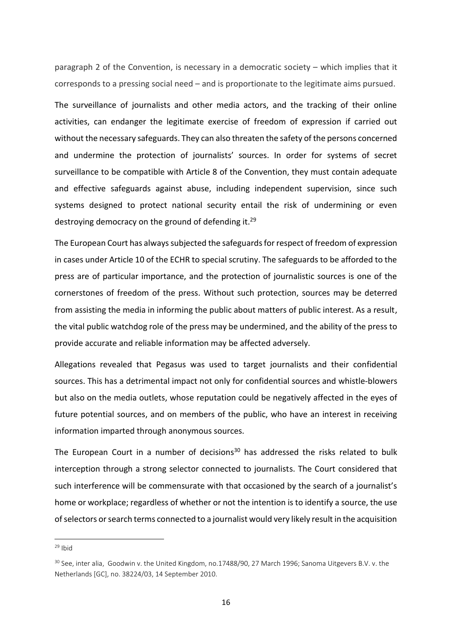paragraph 2 of the Convention, is necessary in a democratic society – which implies that it corresponds to a pressing social need – and is proportionate to the legitimate aims pursued.

The surveillance of journalists and other media actors, and the tracking of their online activities, can endanger the legitimate exercise of freedom of expression if carried out without the necessary safeguards. They can also threaten the safety of the persons concerned and undermine the protection of journalists' sources. In order for systems of secret surveillance to be compatible with Article 8 of the Convention, they must contain adequate and effective safeguards against abuse, including independent supervision, since such systems designed to protect national security entail the risk of undermining or even destroying democracy on the ground of defending it.<sup>29</sup>

The European Court has always subjected the safeguards for respect of freedom of expression in cases under Article 10 of the ECHR to special scrutiny. The safeguards to be afforded to the press are of particular importance, and the protection of journalistic sources is one of the cornerstones of freedom of the press. Without such protection, sources may be deterred from assisting the media in informing the public about matters of public interest. As a result, the vital public watchdog role of the press may be undermined, and the ability of the press to provide accurate and reliable information may be affected adversely.

Allegations revealed that Pegasus was used to target journalists and their confidential sources. This has a detrimental impact not only for confidential sources and whistle-blowers but also on the media outlets, whose reputation could be negatively affected in the eyes of future potential sources, and on members of the public, who have an interest in receiving information imparted through anonymous sources.

The European Court in a number of decisions $30$  has addressed the risks related to bulk interception through a strong selector connected to journalists. The Court considered that such interference will be commensurate with that occasioned by the search of a journalist's home or workplace; regardless of whether or not the intention is to identify a source, the use of selectors or search terms connected to a journalist would very likely result in the acquisition

 $29$  Ibid

<sup>&</sup>lt;sup>30</sup> See, inter alia, Goodwin v. the United Kingdom, no.17488/90, 27 March 1996; Sanoma Uitgevers B.V. v. the Netherlands [GC], no. 38224/03, 14 September 2010.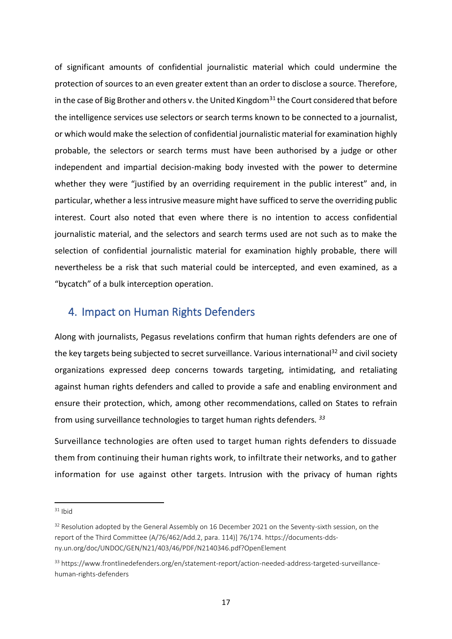of significant amounts of confidential journalistic material which could undermine the protection of sources to an even greater extent than an order to disclose a source. Therefore, in the case of Big Brother and others v. the United Kingdom<sup>31</sup> the Court considered that before the intelligence services use selectors or search terms known to be connected to a journalist, or which would make the selection of confidential journalistic material for examination highly probable, the selectors or search terms must have been authorised by a judge or other independent and impartial decision-making body invested with the power to determine whether they were "justified by an overriding requirement in the public interest" and, in particular, whether a less intrusive measure might have sufficed to serve the overriding public interest. Court also noted that even where there is no intention to access confidential journalistic material, and the selectors and search terms used are not such as to make the selection of confidential journalistic material for examination highly probable, there will nevertheless be a risk that such material could be intercepted, and even examined, as a "bycatch" of a bulk interception operation.

#### <span id="page-20-0"></span>4. Impact on Human Rights Defenders

Along with journalists, Pegasus revelations confirm that human rights defenders are one of the key targets being subjected to secret surveillance. Various international<sup>32</sup> and civil society organizations expressed deep concerns towards targeting, intimidating, and retaliating against human rights defenders and called to provide a safe and enabling environment and ensure their protection, which, among other recommendations, called on States to refrain from using surveillance technologies to target human rights defenders*. 33*

Surveillance technologies are often used to target human rights defenders to dissuade them from continuing their human rights work, to infiltrate their networks, and to gather information for use against other targets. Intrusion with the privacy of human rights

 $31$  Ibid

 $32$  Resolution adopted by the General Assembly on 16 December 2021 on the Seventy-sixth session, on the report of the Third Committee (A/76/462/Add.2, para. 114)] 76/174. [https://documents-dds](https://documents-dds-ny.un.org/doc/UNDOC/GEN/N21/403/46/PDF/N2140346.pdf?OpenElement)[ny.un.org/doc/UNDOC/GEN/N21/403/46/PDF/N2140346.pdf?OpenElement](https://documents-dds-ny.un.org/doc/UNDOC/GEN/N21/403/46/PDF/N2140346.pdf?OpenElement)

<sup>33</sup> [https://www.frontlinedefenders.org/en/statement-report/action-needed-address-targeted-surveillance](https://www.frontlinedefenders.org/en/statement-report/action-needed-address-targeted-surveillance-human-rights-defenders)[human-rights-defenders](https://www.frontlinedefenders.org/en/statement-report/action-needed-address-targeted-surveillance-human-rights-defenders)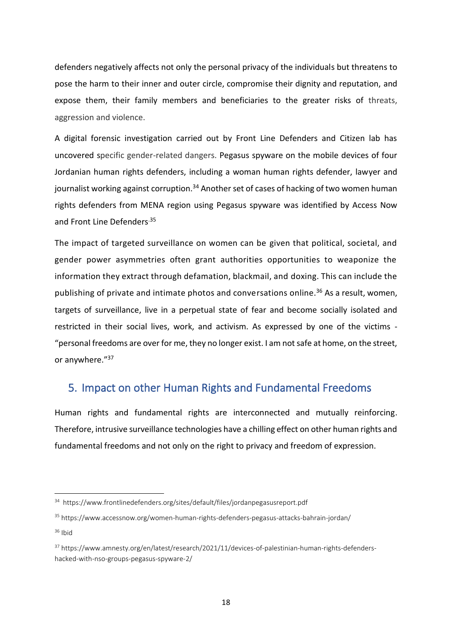defenders negatively affects not only the personal privacy of the individuals but threatens to pose the harm to their inner and outer circle, compromise their dignity and reputation, and expose them, their family members and beneficiaries to the greater risks of threats, aggression and violence.

A digital forensic investigation carried out by Front Line Defenders and Citizen lab has uncovered specific gender-related dangers. Pegasus spyware on the mobile devices of four Jordanian human rights defenders, including a woman human rights defender, lawyer and journalist working against corruption.<sup>34</sup> Another set of cases of hacking of two women human rights defenders from MENA region using Pegasus spyware was identified by Access Now and [Front Line Defenders](http://www.frontlinedefenders.org/pegasus-barhain-jordan).35

The impact of targeted surveillance on women can be given that political, societal, and gender power asymmetries often grant authorities opportunities to weaponize the information they extract through defamation, blackmail, and doxing. This can include the publishing of private and intimate photos and conversations online.<sup>36</sup> As a result, women, targets of surveillance, live in a perpetual state of fear and become socially isolated and restricted in their social lives, work, and activism. As expressed by one of the victims - "personal freedoms are over for me, they no longer exist. I am not safe at home, on the street, or anywhere."<sup>37</sup>

#### <span id="page-21-0"></span>5. Impact on other Human Rights and Fundamental Freedoms

Human rights and fundamental rights are interconnected and mutually reinforcing. Therefore, intrusive surveillance technologies have a chilling effect on other human rights and fundamental freedoms and not only on the right to privacy and freedom of expression.

<sup>34</sup> <https://www.frontlinedefenders.org/sites/default/files/jordanpegasusreport.pdf>

<sup>35</sup> <https://www.accessnow.org/women-human-rights-defenders-pegasus-attacks-bahrain-jordan/> <sup>36</sup> Ibid

<sup>37</sup> [https://www.amnesty.org/en/latest/research/2021/11/devices-of-palestinian-human-rights-defenders](https://www.amnesty.org/en/latest/research/2021/11/devices-of-palestinian-human-rights-defenders-hacked-with-nso-groups-pegasus-spyware-2/)[hacked-with-nso-groups-pegasus-spyware-2/](https://www.amnesty.org/en/latest/research/2021/11/devices-of-palestinian-human-rights-defenders-hacked-with-nso-groups-pegasus-spyware-2/)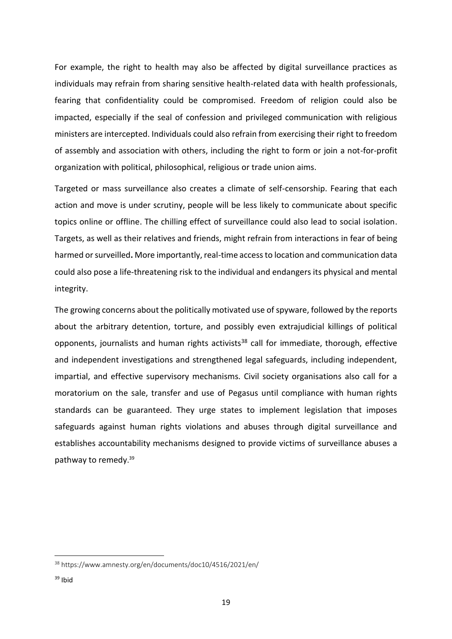For example, the right to health may also be affected by digital surveillance practices as individuals may refrain from sharing sensitive health-related data with health professionals, fearing that confidentiality could be compromised. Freedom of religion could also be impacted, especially if the seal of confession and privileged communication with religious ministers are intercepted. Individuals could also refrain from exercising their right to freedom of assembly and association with others, including the right to form or join a not-for-profit organization with political, philosophical, religious or trade union aims.

Targeted or mass surveillance also creates a climate of self-censorship. Fearing that each action and move is under scrutiny, people will be less likely to communicate about specific topics online or offline. The chilling effect of surveillance could also lead to social isolation. Targets, as well as their relatives and friends, might refrain from interactions in fear of being harmed or surveilled**.** More importantly, real-time access to location and communication data could also pose a life-threatening risk to the individual and endangers its physical and mental integrity.

The growing concerns about the politically motivated use of spyware, followed by the reports about the arbitrary detention, torture, and possibly even extrajudicial killings of political opponents, journalists and human rights activists<sup>38</sup> call for immediate, thorough, effective and independent investigations and strengthened legal safeguards, including independent, impartial, and effective supervisory mechanisms. Civil society organisations also call for a moratorium on the sale, transfer and use of Pegasus until compliance with human rights standards can be guaranteed. They urge states to implement legislation that imposes safeguards against human rights violations and abuses through digital surveillance and establishes accountability mechanisms designed to provide victims of surveillance abuses a pathway to remedy. 39

<sup>38</sup> <https://www.amnesty.org/en/documents/doc10/4516/2021/en/>

 $39$  Ibid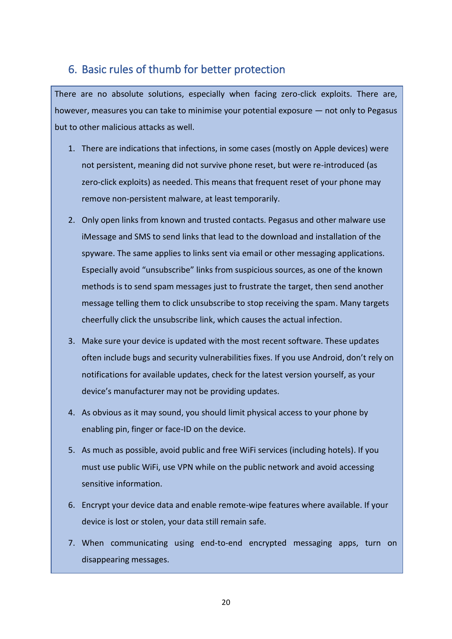#### <span id="page-23-0"></span>6. Basic rules of thumb for better protection

There are no absolute solutions, especially when facing zero-click exploits. There are, however, measures you can take to minimise your potential exposure — not only to Pegasus but to other malicious attacks as well.

- 1. There are indications that infections, in some cases (mostly on Apple devices) were not persistent, meaning did not survive phone reset, but were re-introduced (as zero-click exploits) as needed. This means that frequent reset of your phone may remove non-persistent malware, at least temporarily.
- 2. Only open links from known and trusted contacts. Pegasus and other malware use iMessage and SMS to send links that lead to the download and installation of the spyware. The same applies to links sent via email or other messaging applications. Especially avoid "unsubscribe" links from suspicious sources, as one of the known methods is to send spam messages just to frustrate the target, then send another message telling them to click unsubscribe to stop receiving the spam. Many targets cheerfully click the unsubscribe link, which causes the actual infection.
- 3. Make sure your device is updated with the most recent software. These updates often include bugs and security vulnerabilities fixes. If you use Android, don't rely on notifications for available updates, check for the latest version yourself, as your device's manufacturer may not be providing updates.
- 4. As obvious as it may sound, you should limit physical access to your phone by enabling pin, finger or face-ID on the device.
- 5. As much as possible, avoid public and free WiFi services (including hotels). If you must use public WiFi, use VPN while on the public network and avoid accessing sensitive information.
- 6. Encrypt your device data and enable remote-wipe features where available. If your device is lost or stolen, your data still remain safe.
- 7. When communicating using end-to-end encrypted messaging apps, turn on disappearing messages.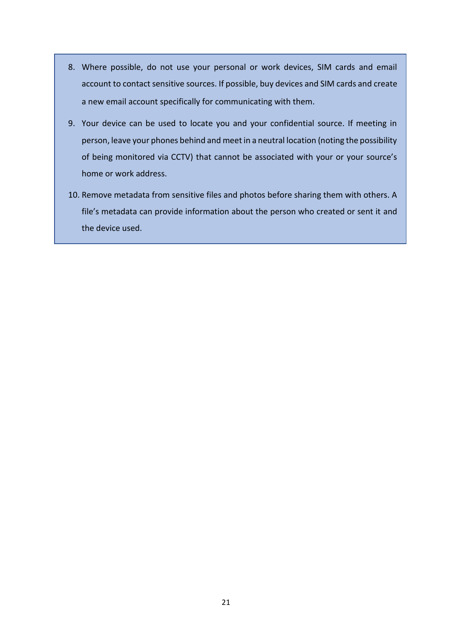- 8. Where possible, do not use your personal or work devices, SIM cards and email account to contact sensitive sources. If possible, buy devices and SIM cards and create a new email account specifically for communicating with them.
- 9. Your device can be used to locate you and your confidential source. If meeting in person, leave your phones behind and meet in a neutral location (noting the possibility of being monitored via CCTV) that cannot be associated with your or your source's home or work address.
- 10. Remove metadata from sensitive files and photos before sharing them with others. A file's metadata can provide information about the person who created or sent it and the device used.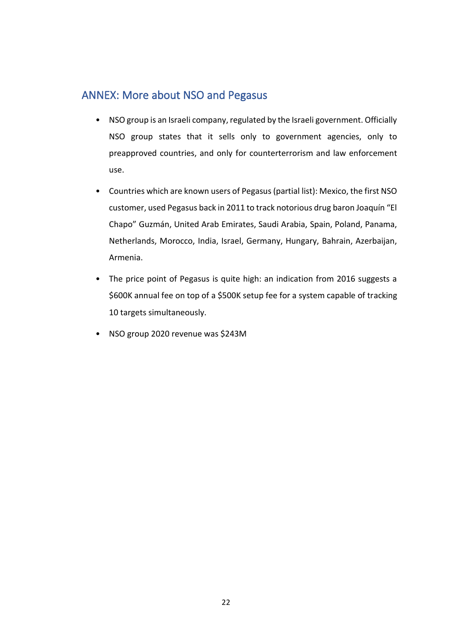#### <span id="page-25-0"></span>ANNEX: More about NSO and Pegasus

- NSO group is an Israeli company, regulated by the Israeli government. Officially NSO group states that it sells only to government agencies, only to preapproved countries, and only for counterterrorism and law enforcement use.
- Countries which are known users of Pegasus (partial list): Mexico, the first NSO customer, used Pegasus back in 2011 to track notorious drug baron Joaquín "El Chapo" Guzmán, United Arab Emirates, Saudi Arabia, Spain, Poland, Panama, Netherlands, Morocco, India, Israel, Germany, Hungary, Bahrain, Azerbaijan, Armenia.
- The price point of Pegasus is quite high: an indication from 2016 suggests a \$600K annual fee on top of a \$500K setup fee for a system capable of tracking 10 targets simultaneously.
- NSO group 2020 revenue was \$243M